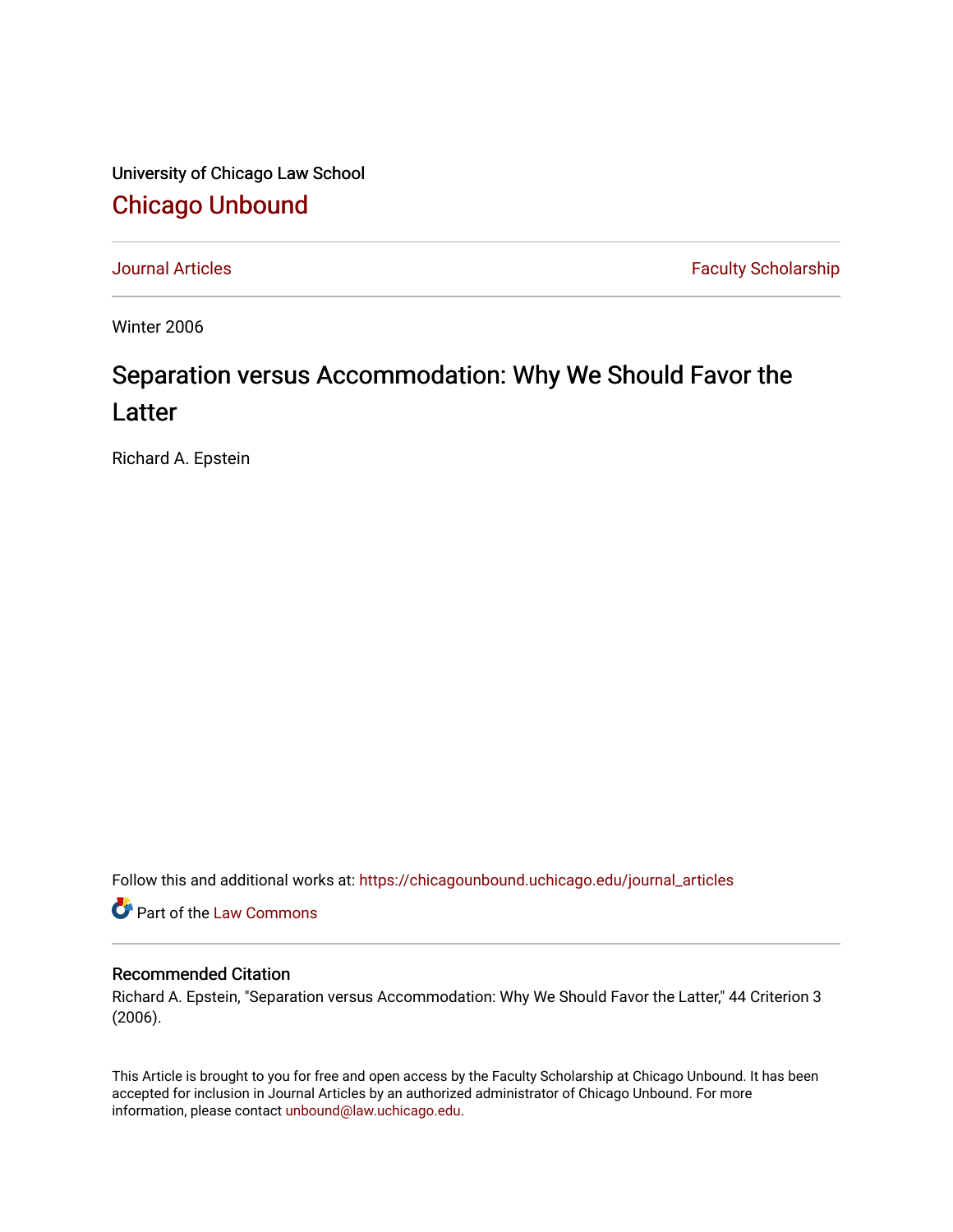University of Chicago Law School [Chicago Unbound](https://chicagounbound.uchicago.edu/)

[Journal Articles](https://chicagounbound.uchicago.edu/journal_articles) **Faculty Scholarship Faculty Scholarship** 

Winter 2006

# Separation versus Accommodation: Why We Should Favor the Latter

Richard A. Epstein

Follow this and additional works at: [https://chicagounbound.uchicago.edu/journal\\_articles](https://chicagounbound.uchicago.edu/journal_articles?utm_source=chicagounbound.uchicago.edu%2Fjournal_articles%2F547&utm_medium=PDF&utm_campaign=PDFCoverPages) 

Part of the [Law Commons](http://network.bepress.com/hgg/discipline/578?utm_source=chicagounbound.uchicago.edu%2Fjournal_articles%2F547&utm_medium=PDF&utm_campaign=PDFCoverPages)

#### Recommended Citation

Richard A. Epstein, "Separation versus Accommodation: Why We Should Favor the Latter," 44 Criterion 3 (2006).

This Article is brought to you for free and open access by the Faculty Scholarship at Chicago Unbound. It has been accepted for inclusion in Journal Articles by an authorized administrator of Chicago Unbound. For more information, please contact [unbound@law.uchicago.edu](mailto:unbound@law.uchicago.edu).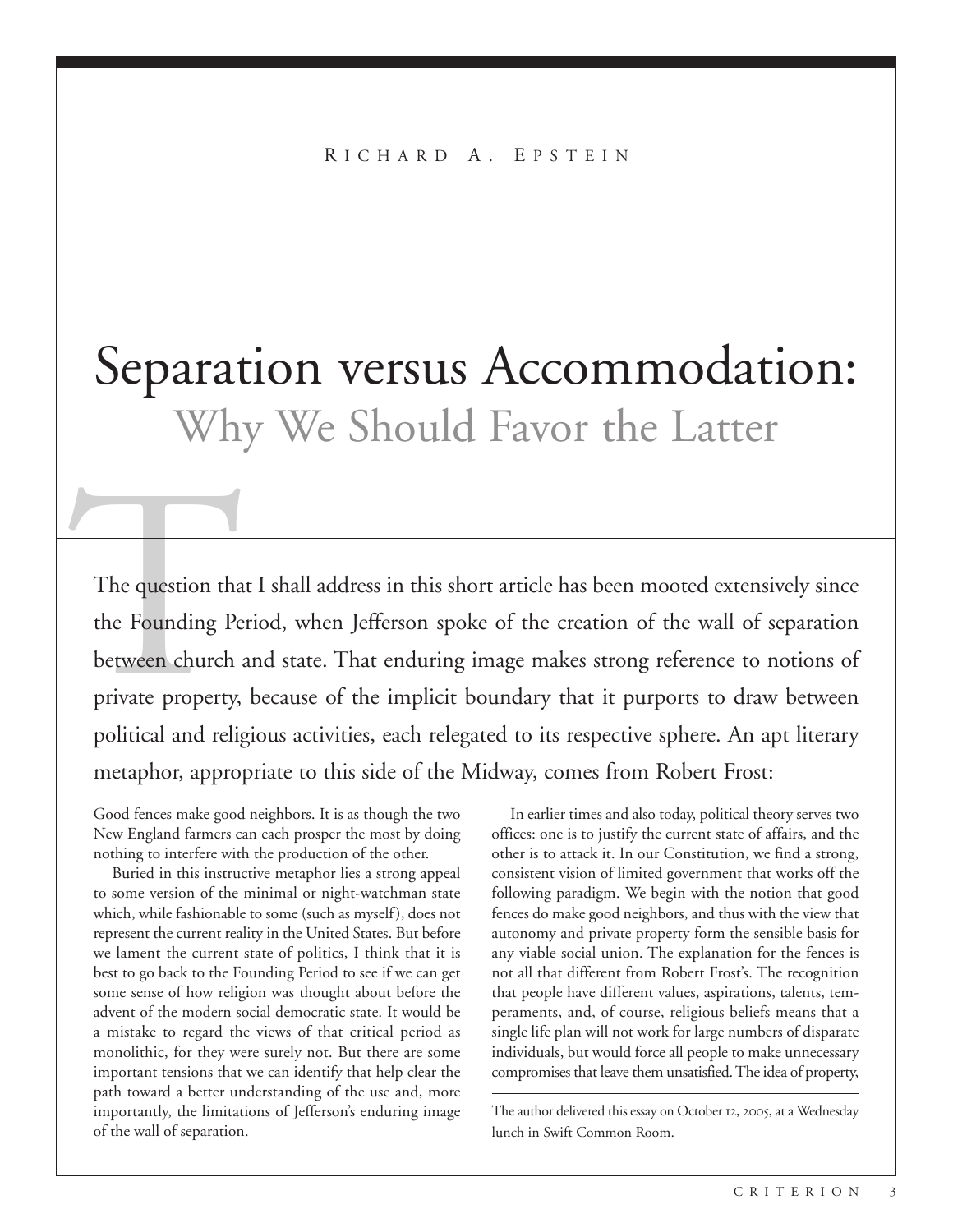# Separation versus Accommodation: Why We Should Favor the Latter

The question that<br>the Founding Pe<br>between church<br>private property,<br>political and relig The question that I shall address in this short article has been mooted extensively since the Founding Period, when Jefferson spoke of the creation of the wall of separation between church and state. That enduring image makes strong reference to notions of private property, because of the implicit boundary that it purports to draw between political and religious activities, each relegated to its respective sphere. An apt literary metaphor, appropriate to this side of the Midway, comes from Robert Frost:

Good fences make good neighbors. It is as though the two New England farmers can each prosper the most by doing nothing to interfere with the production of the other.

Buried in this instructive metaphor lies a strong appeal to some version of the minimal or night-watchman state which, while fashionable to some (such as myself), does not represent the current reality in the United States. But before we lament the current state of politics, I think that it is best to go back to the Founding Period to see if we can get some sense of how religion was thought about before the advent of the modern social democratic state. It would be a mistake to regard the views of that critical period as monolithic, for they were surely not. But there are some important tensions that we can identify that help clear the path toward a better understanding of the use and, more importantly, the limitations of Jefferson's enduring image of the wall of separation.

In earlier times and also today, political theory serves two offices: one is to justify the current state of affairs, and the other is to attack it. In our Constitution, we find a strong, consistent vision of limited government that works off the following paradigm. We begin with the notion that good fences do make good neighbors, and thus with the view that autonomy and private property form the sensible basis for any viable social union. The explanation for the fences is not all that different from Robert Frost's. The recognition that people have different values, aspirations, talents, temperaments, and, of course, religious beliefs means that a single life plan will not work for large numbers of disparate individuals, but would force all people to make unnecessary compromises that leave them unsatisfied. The idea of property,

The author delivered this essay on October 12, 2005, at a Wednesday lunch in Swift Common Room.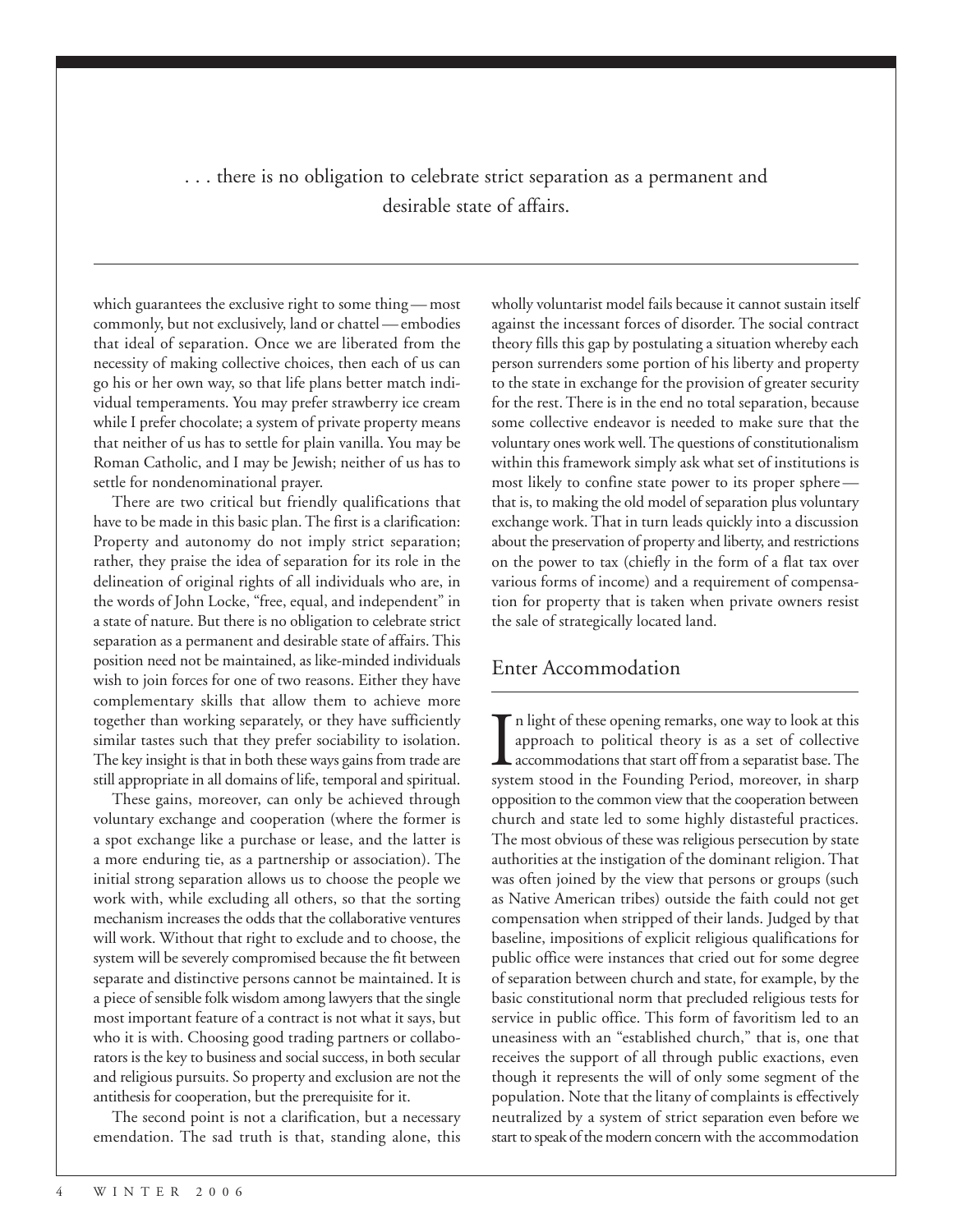. . . there is no obligation to celebrate strict separation as a permanent and desirable state of affairs.

which guarantees the exclusive right to some thing — most commonly, but not exclusively, land or chattel — embodies that ideal of separation. Once we are liberated from the necessity of making collective choices, then each of us can go his or her own way, so that life plans better match individual temperaments. You may prefer strawberry ice cream while I prefer chocolate; a system of private property means that neither of us has to settle for plain vanilla. You may be Roman Catholic, and I may be Jewish; neither of us has to settle for nondenominational prayer.

There are two critical but friendly qualifications that have to be made in this basic plan. The first is a clarification: Property and autonomy do not imply strict separation; rather, they praise the idea of separation for its role in the delineation of original rights of all individuals who are, in the words of John Locke, "free, equal, and independent" in a state of nature. But there is no obligation to celebrate strict separation as a permanent and desirable state of affairs. This position need not be maintained, as like-minded individuals wish to join forces for one of two reasons. Either they have complementary skills that allow them to achieve more together than working separately, or they have sufficiently similar tastes such that they prefer sociability to isolation. The key insight is that in both these ways gains from trade are still appropriate in all domains of life, temporal and spiritual.

These gains, moreover, can only be achieved through voluntary exchange and cooperation (where the former is a spot exchange like a purchase or lease, and the latter is a more enduring tie, as a partnership or association). The initial strong separation allows us to choose the people we work with, while excluding all others, so that the sorting mechanism increases the odds that the collaborative ventures will work. Without that right to exclude and to choose, the system will be severely compromised because the fit between separate and distinctive persons cannot be maintained. It is a piece of sensible folk wisdom among lawyers that the single most important feature of a contract is not what it says, but who it is with. Choosing good trading partners or collaborators is the key to business and social success, in both secular and religious pursuits. So property and exclusion are not the antithesis for cooperation, but the prerequisite for it.

The second point is not a clarification, but a necessary emendation. The sad truth is that, standing alone, this wholly voluntarist model fails because it cannot sustain itself against the incessant forces of disorder. The social contract theory fills this gap by postulating a situation whereby each person surrenders some portion of his liberty and property to the state in exchange for the provision of greater security for the rest. There is in the end no total separation, because some collective endeavor is needed to make sure that the voluntary ones work well. The questions of constitutionalism within this framework simply ask what set of institutions is most likely to confine state power to its proper sphere that is, to making the old model of separation plus voluntary exchange work. That in turn leads quickly into a discussion about the preservation of property and liberty, and restrictions on the power to tax (chiefly in the form of a flat tax over various forms of income) and a requirement of compensation for property that is taken when private owners resist the sale of strategically located land.

## Enter Accommodation

 $\prod_{\text{svst}}$ n light of these opening remarks, one way to look at this approach to political theory is as a set of collective accommodations that start off from a separatist base. The system stood in the Founding Period, moreover, in sharp opposition to the common view that the cooperation between church and state led to some highly distasteful practices. The most obvious of these was religious persecution by state authorities at the instigation of the dominant religion. That was often joined by the view that persons or groups (such as Native American tribes) outside the faith could not get compensation when stripped of their lands. Judged by that baseline, impositions of explicit religious qualifications for public office were instances that cried out for some degree of separation between church and state, for example, by the basic constitutional norm that precluded religious tests for service in public office. This form of favoritism led to an uneasiness with an "established church," that is, one that receives the support of all through public exactions, even though it represents the will of only some segment of the population. Note that the litany of complaints is effectively neutralized by a system of strict separation even before we start to speak of the modern concern with the accommodation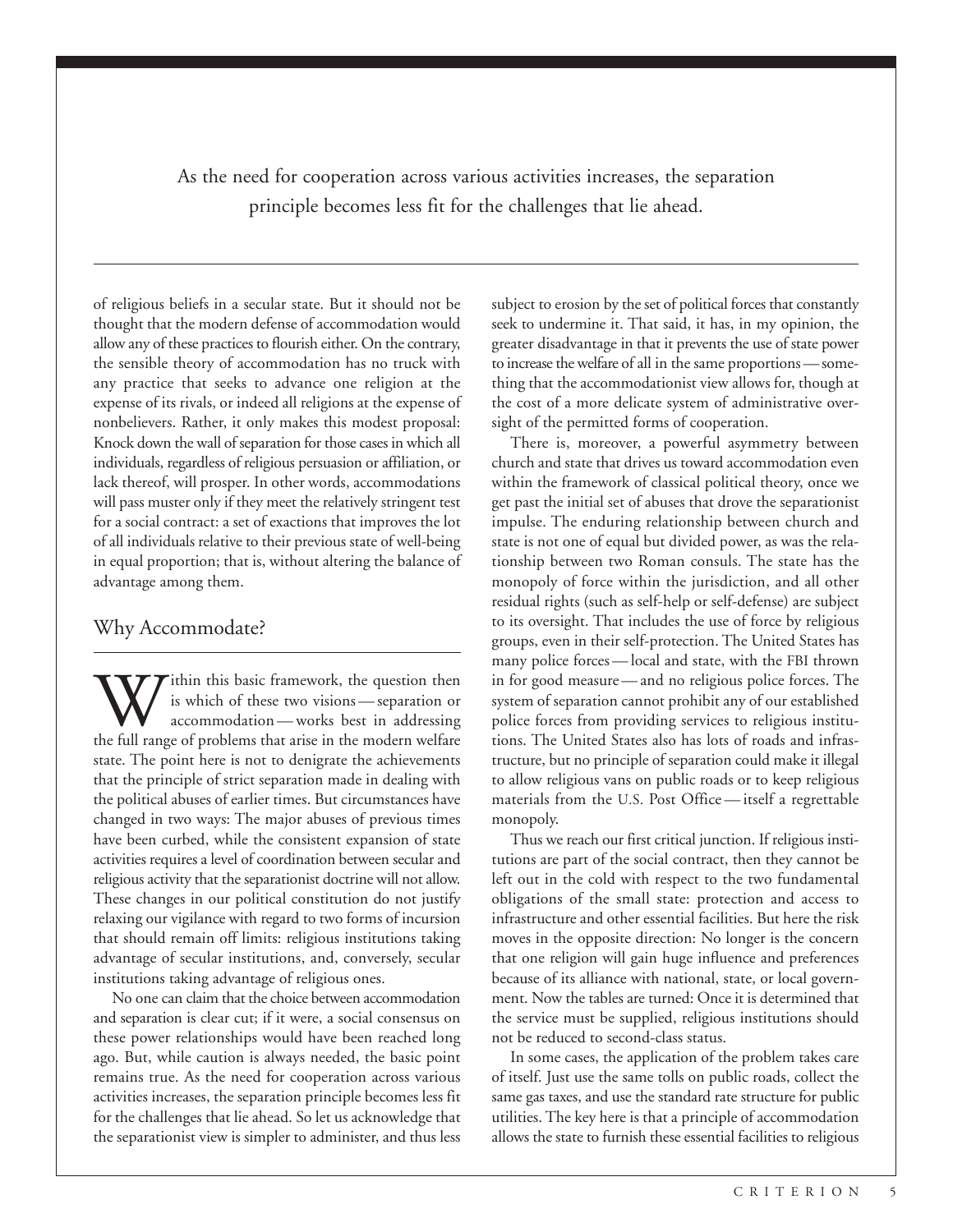As the need for cooperation across various activities increases, the separation principle becomes less fit for the challenges that lie ahead.

of religious beliefs in a secular state. But it should not be thought that the modern defense of accommodation would allow any of these practices to flourish either. On the contrary, the sensible theory of accommodation has no truck with any practice that seeks to advance one religion at the expense of its rivals, or indeed all religions at the expense of nonbelievers. Rather, it only makes this modest proposal: Knock down the wall of separation for those cases in which all individuals, regardless of religious persuasion or affiliation, or lack thereof, will prosper. In other words, accommodations will pass muster only if they meet the relatively stringent test for a social contract: a set of exactions that improves the lot of all individuals relative to their previous state of well-being in equal proportion; that is, without altering the balance of advantage among them.

#### Why Accommodate?

Within this basic framework, the question then<br>accommodation—works best in addressing<br>the full range of problems that arise in the modern welfare is which of these two visions — separation or accommodation — works best in addressing state. The point here is not to denigrate the achievements that the principle of strict separation made in dealing with the political abuses of earlier times. But circumstances have changed in two ways: The major abuses of previous times have been curbed, while the consistent expansion of state activities requires a level of coordination between secular and religious activity that the separationist doctrine will not allow. These changes in our political constitution do not justify relaxing our vigilance with regard to two forms of incursion that should remain off limits: religious institutions taking advantage of secular institutions, and, conversely, secular institutions taking advantage of religious ones.

No one can claim that the choice between accommodation and separation is clear cut; if it were, a social consensus on these power relationships would have been reached long ago. But, while caution is always needed, the basic point remains true. As the need for cooperation across various activities increases, the separation principle becomes less fit for the challenges that lie ahead. So let us acknowledge that the separationist view is simpler to administer, and thus less subject to erosion by the set of political forces that constantly seek to undermine it. That said, it has, in my opinion, the greater disadvantage in that it prevents the use of state power to increase the welfare of all in the same proportions — something that the accommodationist view allows for, though at the cost of a more delicate system of administrative oversight of the permitted forms of cooperation.

There is, moreover, a powerful asymmetry between church and state that drives us toward accommodation even within the framework of classical political theory, once we get past the initial set of abuses that drove the separationist impulse. The enduring relationship between church and state is not one of equal but divided power, as was the relationship between two Roman consuls. The state has the monopoly of force within the jurisdiction, and all other residual rights (such as self-help or self-defense) are subject to its oversight. That includes the use of force by religious groups, even in their self-protection. The United States has many police forces — local and state, with the FBI thrown in for good measure — and no religious police forces. The system of separation cannot prohibit any of our established police forces from providing services to religious institutions. The United States also has lots of roads and infrastructure, but no principle of separation could make it illegal to allow religious vans on public roads or to keep religious materials from the U.S. Post Office — itself a regrettable monopoly.

Thus we reach our first critical junction. If religious institutions are part of the social contract, then they cannot be left out in the cold with respect to the two fundamental obligations of the small state: protection and access to infrastructure and other essential facilities. But here the risk moves in the opposite direction: No longer is the concern that one religion will gain huge influence and preferences because of its alliance with national, state, or local government. Now the tables are turned: Once it is determined that the service must be supplied, religious institutions should not be reduced to second-class status.

In some cases, the application of the problem takes care of itself. Just use the same tolls on public roads, collect the same gas taxes, and use the standard rate structure for public utilities. The key here is that a principle of accommodation allows the state to furnish these essential facilities to religious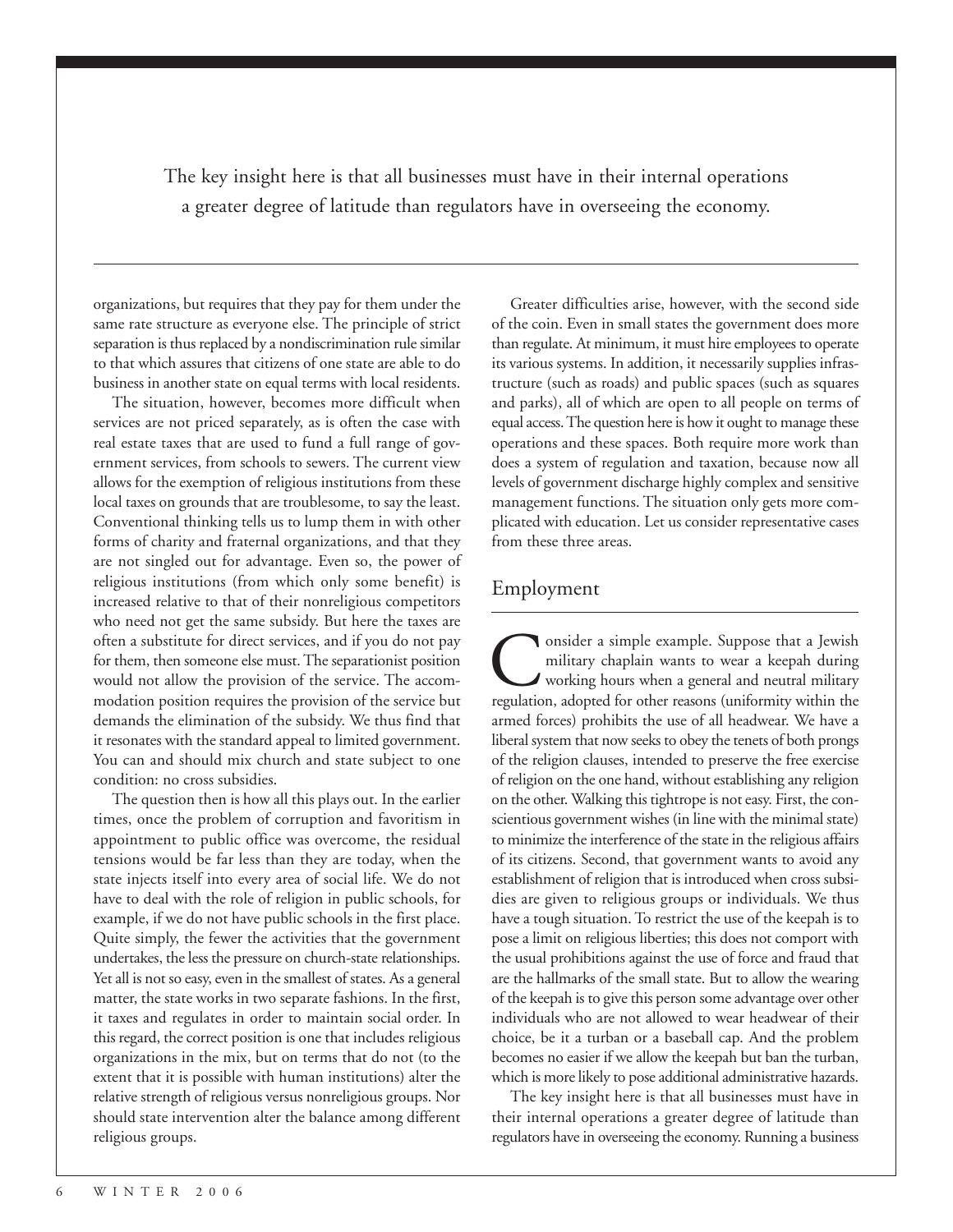The key insight here is that all businesses must have in their internal operations a greater degree of latitude than regulators have in overseeing the economy.

organizations, but requires that they pay for them under the same rate structure as everyone else. The principle of strict separation is thus replaced by a nondiscrimination rule similar to that which assures that citizens of one state are able to do business in another state on equal terms with local residents.

The situation, however, becomes more difficult when services are not priced separately, as is often the case with real estate taxes that are used to fund a full range of government services, from schools to sewers. The current view allows for the exemption of religious institutions from these local taxes on grounds that are troublesome, to say the least. Conventional thinking tells us to lump them in with other forms of charity and fraternal organizations, and that they are not singled out for advantage. Even so, the power of religious institutions (from which only some benefit) is increased relative to that of their nonreligious competitors who need not get the same subsidy. But here the taxes are often a substitute for direct services, and if you do not pay for them, then someone else must. The separationist position would not allow the provision of the service. The accommodation position requires the provision of the service but demands the elimination of the subsidy. We thus find that it resonates with the standard appeal to limited government. You can and should mix church and state subject to one condition: no cross subsidies.

The question then is how all this plays out. In the earlier times, once the problem of corruption and favoritism in appointment to public office was overcome, the residual tensions would be far less than they are today, when the state injects itself into every area of social life. We do not have to deal with the role of religion in public schools, for example, if we do not have public schools in the first place. Quite simply, the fewer the activities that the government undertakes, the less the pressure on church-state relationships. Yet all is not so easy, even in the smallest of states. As a general matter, the state works in two separate fashions. In the first, it taxes and regulates in order to maintain social order. In this regard, the correct position is one that includes religious organizations in the mix, but on terms that do not (to the extent that it is possible with human institutions) alter the relative strength of religious versus nonreligious groups. Nor should state intervention alter the balance among different religious groups.

Greater difficulties arise, however, with the second side of the coin. Even in small states the government does more than regulate. At minimum, it must hire employees to operate its various systems. In addition, it necessarily supplies infrastructure (such as roads) and public spaces (such as squares and parks), all of which are open to all people on terms of equal access. The question here is how it ought to manage these operations and these spaces. Both require more work than does a system of regulation and taxation, because now all levels of government discharge highly complex and sensitive management functions. The situation only gets more complicated with education. Let us consider representative cases from these three areas.

#### Employment

onsider a simple example. Suppose that a Jewish military chaplain wants to wear a keepah during working hours when a general and neutral military regulation, adopted for other reasons (uniformity within the armed forces) prohibits the use of all headwear. We have a liberal system that now seeks to obey the tenets of both prongs of the religion clauses, intended to preserve the free exercise of religion on the one hand, without establishing any religion on the other. Walking this tightrope is not easy. First, the conscientious government wishes (in line with the minimal state) to minimize the interference of the state in the religious affairs of its citizens. Second, that government wants to avoid any establishment of religion that is introduced when cross subsidies are given to religious groups or individuals. We thus have a tough situation. To restrict the use of the keepah is to pose a limit on religious liberties; this does not comport with the usual prohibitions against the use of force and fraud that are the hallmarks of the small state. But to allow the wearing of the keepah is to give this person some advantage over other individuals who are not allowed to wear headwear of their choice, be it a turban or a baseball cap. And the problem becomes no easier if we allow the keepah but ban the turban, which is more likely to pose additional administrative hazards.

The key insight here is that all businesses must have in their internal operations a greater degree of latitude than regulators have in overseeing the economy. Running a business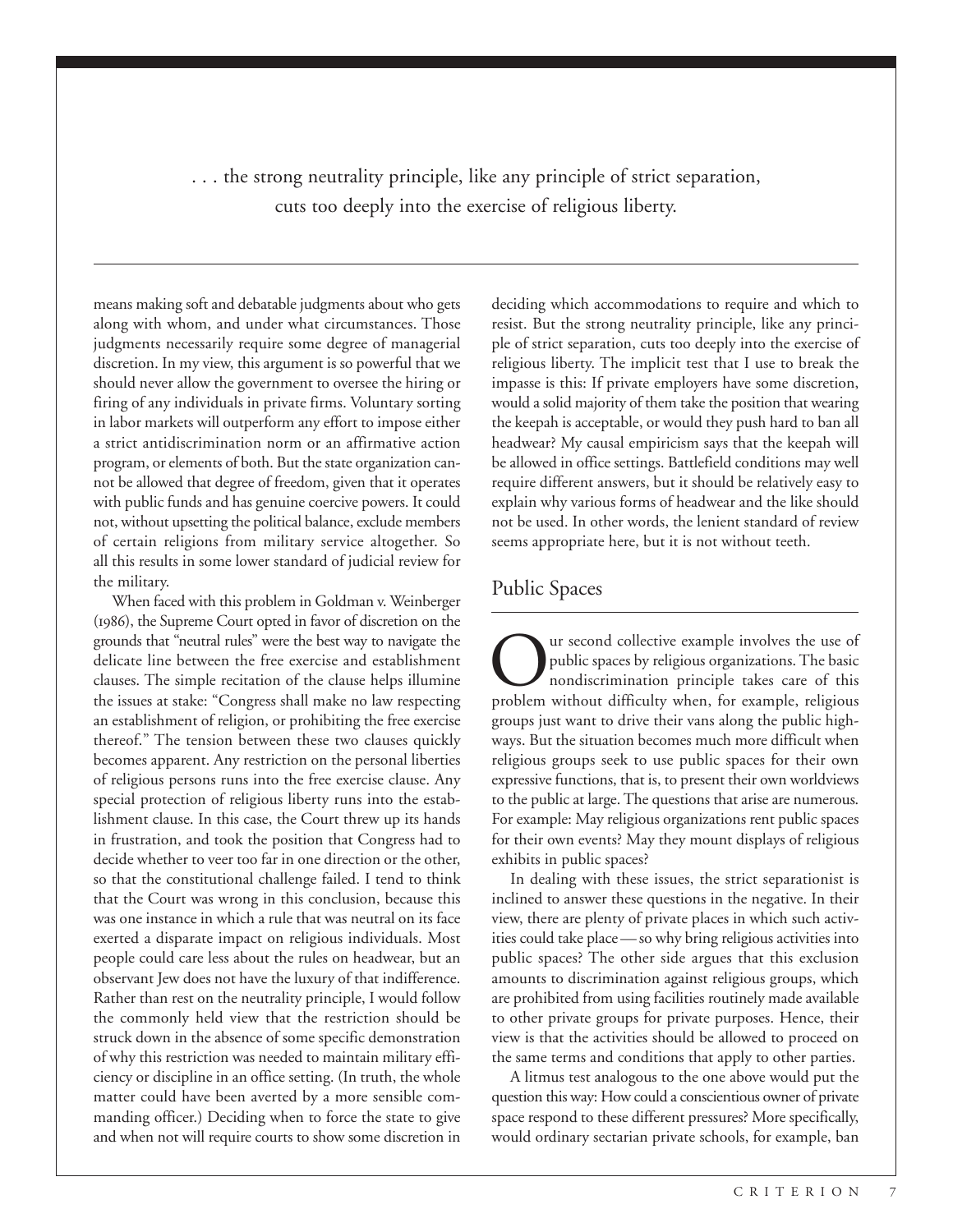. . . the strong neutrality principle, like any principle of strict separation, cuts too deeply into the exercise of religious liberty.

means making soft and debatable judgments about who gets along with whom, and under what circumstances. Those judgments necessarily require some degree of managerial discretion. In my view, this argument is so powerful that we should never allow the government to oversee the hiring or firing of any individuals in private firms. Voluntary sorting in labor markets will outperform any effort to impose either a strict antidiscrimination norm or an affirmative action program, or elements of both. But the state organization cannot be allowed that degree of freedom, given that it operates with public funds and has genuine coercive powers. It could not, without upsetting the political balance, exclude members of certain religions from military service altogether. So all this results in some lower standard of judicial review for the military.

When faced with this problem in Goldman v. Weinberger (1986), the Supreme Court opted in favor of discretion on the grounds that "neutral rules" were the best way to navigate the delicate line between the free exercise and establishment clauses. The simple recitation of the clause helps illumine the issues at stake: "Congress shall make no law respecting an establishment of religion, or prohibiting the free exercise thereof." The tension between these two clauses quickly becomes apparent. Any restriction on the personal liberties of religious persons runs into the free exercise clause. Any special protection of religious liberty runs into the establishment clause. In this case, the Court threw up its hands in frustration, and took the position that Congress had to decide whether to veer too far in one direction or the other, so that the constitutional challenge failed. I tend to think that the Court was wrong in this conclusion, because this was one instance in which a rule that was neutral on its face exerted a disparate impact on religious individuals. Most people could care less about the rules on headwear, but an observant Jew does not have the luxury of that indifference. Rather than rest on the neutrality principle, I would follow the commonly held view that the restriction should be struck down in the absence of some specific demonstration of why this restriction was needed to maintain military efficiency or discipline in an office setting. (In truth, the whole matter could have been averted by a more sensible commanding officer.) Deciding when to force the state to give and when not will require courts to show some discretion in

deciding which accommodations to require and which to resist. But the strong neutrality principle, like any principle of strict separation, cuts too deeply into the exercise of religious liberty. The implicit test that I use to break the impasse is this: If private employers have some discretion, would a solid majority of them take the position that wearing the keepah is acceptable, or would they push hard to ban all headwear? My causal empiricism says that the keepah will be allowed in office settings. Battlefield conditions may well require different answers, but it should be relatively easy to explain why various forms of headwear and the like should not be used. In other words, the lenient standard of review seems appropriate here, but it is not without teeth.

#### Public Spaces

ur second collective example involves the use of public spaces by religious organizations. The basic nondiscrimination principle takes care of this problem without difficulty when, for example, religious groups just want to drive their vans along the public highways. But the situation becomes much more difficult when religious groups seek to use public spaces for their own expressive functions, that is, to present their own worldviews to the public at large. The questions that arise are numerous. For example: May religious organizations rent public spaces for their own events? May they mount displays of religious exhibits in public spaces?

In dealing with these issues, the strict separationist is inclined to answer these questions in the negative. In their view, there are plenty of private places in which such activities could take place — so why bring religious activities into public spaces? The other side argues that this exclusion amounts to discrimination against religious groups, which are prohibited from using facilities routinely made available to other private groups for private purposes. Hence, their view is that the activities should be allowed to proceed on the same terms and conditions that apply to other parties.

A litmus test analogous to the one above would put the question this way: How could a conscientious owner of private space respond to these different pressures? More specifically, would ordinary sectarian private schools, for example, ban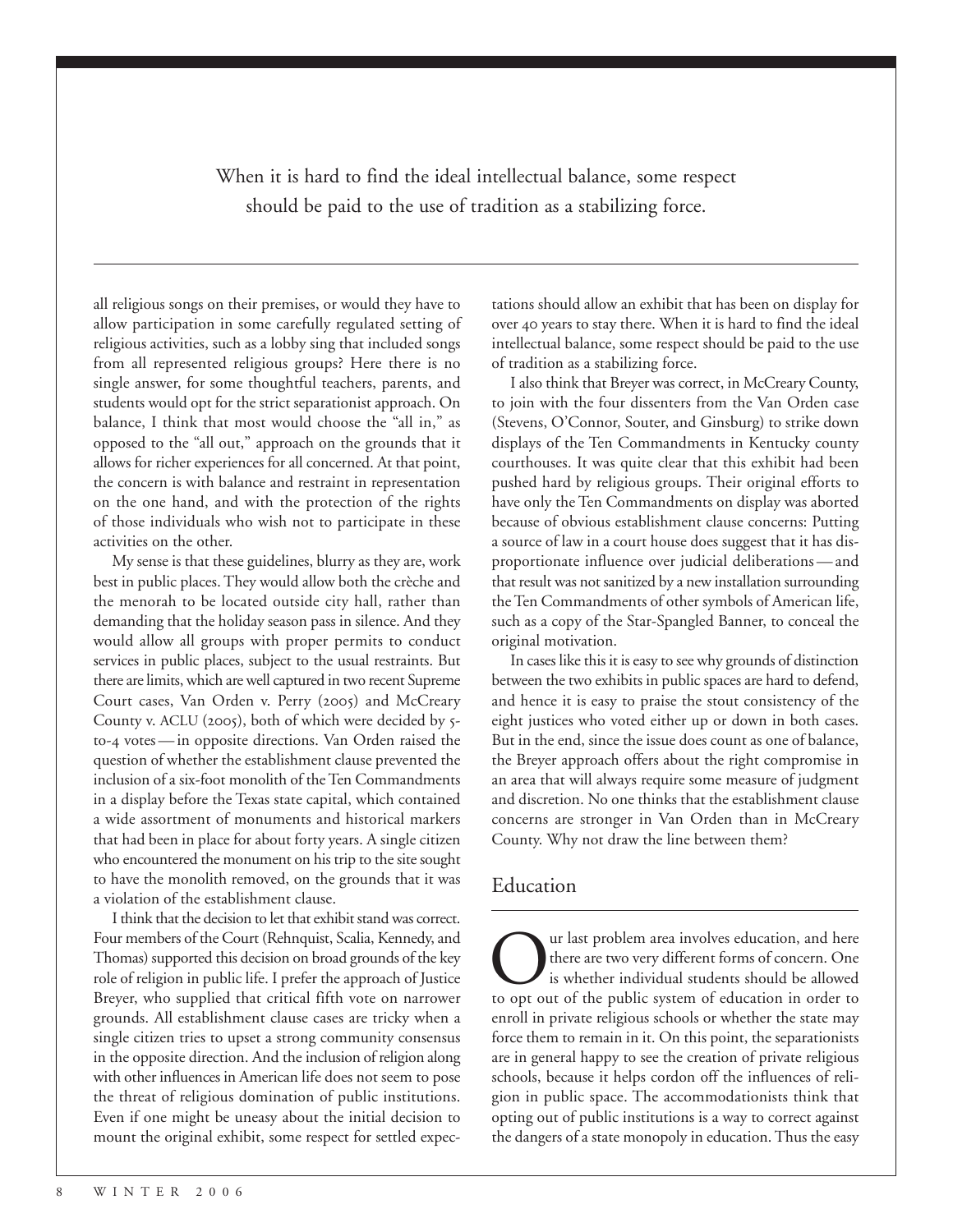When it is hard to find the ideal intellectual balance, some respect should be paid to the use of tradition as a stabilizing force.

all religious songs on their premises, or would they have to allow participation in some carefully regulated setting of religious activities, such as a lobby sing that included songs from all represented religious groups? Here there is no single answer, for some thoughtful teachers, parents, and students would opt for the strict separationist approach. On balance, I think that most would choose the "all in," as opposed to the "all out," approach on the grounds that it allows for richer experiences for all concerned. At that point, the concern is with balance and restraint in representation on the one hand, and with the protection of the rights of those individuals who wish not to participate in these activities on the other.

My sense is that these guidelines, blurry as they are, work best in public places. They would allow both the crèche and the menorah to be located outside city hall, rather than demanding that the holiday season pass in silence. And they would allow all groups with proper permits to conduct services in public places, subject to the usual restraints. But there are limits, which are well captured in two recent Supreme Court cases, Van Orden v. Perry (2005) and McCreary County v. ACLU (2005), both of which were decided by 5to-4 votes — in opposite directions. Van Orden raised the question of whether the establishment clause prevented the inclusion of a six-foot monolith of the Ten Commandments in a display before the Texas state capital, which contained a wide assortment of monuments and historical markers that had been in place for about forty years. A single citizen who encountered the monument on his trip to the site sought to have the monolith removed, on the grounds that it was a violation of the establishment clause.

I think that the decision to let that exhibit stand was correct. Four members of the Court (Rehnquist, Scalia, Kennedy, and Thomas) supported this decision on broad grounds of the key role of religion in public life. I prefer the approach of Justice Breyer, who supplied that critical fifth vote on narrower grounds. All establishment clause cases are tricky when a single citizen tries to upset a strong community consensus in the opposite direction. And the inclusion of religion along with other influences in American life does not seem to pose the threat of religious domination of public institutions. Even if one might be uneasy about the initial decision to mount the original exhibit, some respect for settled expectations should allow an exhibit that has been on display for over 40 years to stay there. When it is hard to find the ideal intellectual balance, some respect should be paid to the use of tradition as a stabilizing force.

I also think that Breyer was correct, in McCreary County, to join with the four dissenters from the Van Orden case (Stevens, O'Connor, Souter, and Ginsburg) to strike down displays of the Ten Commandments in Kentucky county courthouses. It was quite clear that this exhibit had been pushed hard by religious groups. Their original efforts to have only the Ten Commandments on display was aborted because of obvious establishment clause concerns: Putting a source of law in a court house does suggest that it has disproportionate influence over judicial deliberations — and that result was not sanitized by a new installation surrounding the Ten Commandments of other symbols of American life, such as a copy of the Star-Spangled Banner, to conceal the original motivation.

In cases like this it is easy to see why grounds of distinction between the two exhibits in public spaces are hard to defend, and hence it is easy to praise the stout consistency of the eight justices who voted either up or down in both cases. But in the end, since the issue does count as one of balance, the Breyer approach offers about the right compromise in an area that will always require some measure of judgment and discretion. No one thinks that the establishment clause concerns are stronger in Van Orden than in McCreary County. Why not draw the line between them?

#### Education

**OUR ALTE SERVIER CONTEND ASSESS** there are two very different forms of concern. One is whether individual students should be allowed to opt out of the public system of education in order to there are two very different forms of concern. One is whether individual students should be allowed to opt out of the public system of education in order to enroll in private religious schools or whether the state may force them to remain in it. On this point, the separationists are in general happy to see the creation of private religious schools, because it helps cordon off the influences of religion in public space. The accommodationists think that opting out of public institutions is a way to correct against the dangers of a state monopoly in education. Thus the easy